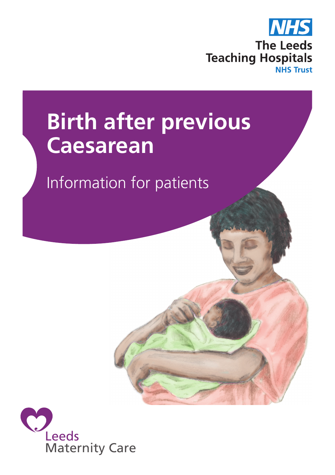

# **Birth after previous Caesarean**

Information for patients

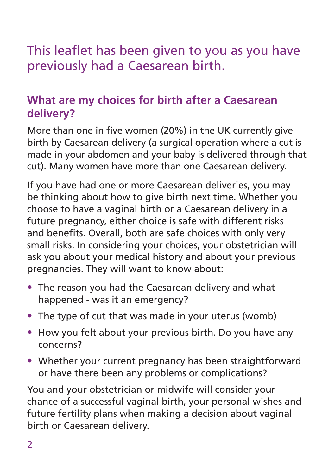# This leaflet has been given to you as you have previously had a Caesarean birth.

# **What are my choices for birth after a Caesarean delivery?**

More than one in five women (20%) in the UK currently give birth by Caesarean delivery (a surgical operation where a cut is made in your abdomen and your baby is delivered through that cut). Many women have more than one Caesarean delivery.

If you have had one or more Caesarean deliveries, you may be thinking about how to give birth next time. Whether you choose to have a vaginal birth or a Caesarean delivery in a future pregnancy, either choice is safe with different risks and benefits. Overall, both are safe choices with only very small risks. In considering your choices, your obstetrician will ask you about your medical history and about your previous pregnancies. They will want to know about:

- The reason you had the Caesarean delivery and what happened - was it an emergency?
- The type of cut that was made in your uterus (womb)
- How you felt about your previous birth. Do you have any concerns?
- Whether your current pregnancy has been straightforward or have there been any problems or complications?

You and your obstetrician or midwife will consider your chance of a successful vaginal birth, your personal wishes and future fertility plans when making a decision about vaginal birth or Caesarean delivery.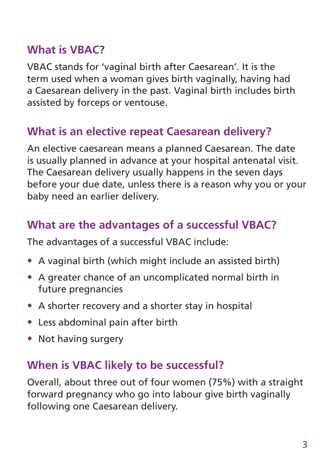## **What is VBAC?**

VBAC stands for 'vaginal birth after Caesarean'. It is the term used when a woman gives birth vaginally, having had a Caesarean delivery in the past. Vaginal birth includes birth assisted by forceps or ventouse.

# **What is an elective repeat Caesarean delivery?**

An elective caesarean means a planned Caesarean. The date is usually planned in advance at your hospital antenatal visit. The Caesarean delivery usually happens in the seven days before your due date, unless there is a reason why you or your baby need an earlier delivery.

# **What are the advantages of a successful VBAC?**

The advantages of a successful VBAC include:

- A vaginal birth (which might include an assisted birth)
- A greater chance of an uncomplicated normal birth in future pregnancies
- A shorter recovery and a shorter stay in hospital
- Less abdominal pain after birth
- Not having surgery

#### **When is VBAC likely to be successful?**

Overall, about three out of four women (75%) with a straight forward pregnancy who go into labour give birth vaginally following one Caesarean delivery.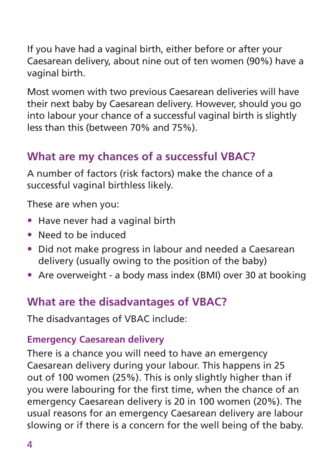If you have had a vaginal birth, either before or after your Caesarean delivery, about nine out of ten women (90%) have a vaginal birth.

Most women with two previous Caesarean deliveries will have their next baby by Caesarean delivery. However, should you go into labour your chance of a successful vaginal birth is slightly less than this (between 70% and 75%).

# **What are my chances of a successful VBAC?**

A number of factors (risk factors) make the chance of a successful vaginal birthless likely.

These are when you:

- Have never had a vaginal birth
- Need to be induced
- Did not make progress in labour and needed a Caesarean delivery (usually owing to the position of the baby)
- Are overweight a body mass index (BMI) over 30 at booking

# **What are the disadvantages of VBAC?**

The disadvantages of VBAC include:

#### **Emergency Caesarean delivery**

There is a chance you will need to have an emergency Caesarean delivery during your labour. This happens in 25 out of 100 women (25%). This is only slightly higher than if you were labouring for the first time, when the chance of an emergency Caesarean delivery is 20 in 100 women (20%). The usual reasons for an emergency Caesarean delivery are labour slowing or if there is a concern for the well being of the baby.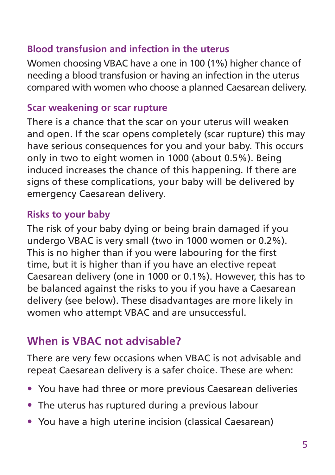#### **Blood transfusion and infection in the uterus**

Women choosing VBAC have a one in 100 (1%) higher chance of needing a blood transfusion or having an infection in the uterus compared with women who choose a planned Caesarean delivery.

#### **Scar weakening or scar rupture**

There is a chance that the scar on your uterus will weaken and open. If the scar opens completely (scar rupture) this may have serious consequences for you and your baby. This occurs only in two to eight women in 1000 (about 0.5%). Being induced increases the chance of this happening. If there are signs of these complications, your baby will be delivered by emergency Caesarean delivery.

#### **Risks to your baby**

The risk of your baby dying or being brain damaged if you undergo VBAC is very small (two in 1000 women or 0.2%). This is no higher than if you were labouring for the first time, but it is higher than if you have an elective repeat Caesarean delivery (one in 1000 or 0.1%). However, this has to be balanced against the risks to you if you have a Caesarean delivery (see below). These disadvantages are more likely in women who attempt VBAC and are unsuccessful.

## **When is VBAC not advisable?**

There are very few occasions when VBAC is not advisable and repeat Caesarean delivery is a safer choice. These are when:

- You have had three or more previous Caesarean deliveries
- The uterus has ruptured during a previous labour
- You have a high uterine incision (classical Caesarean)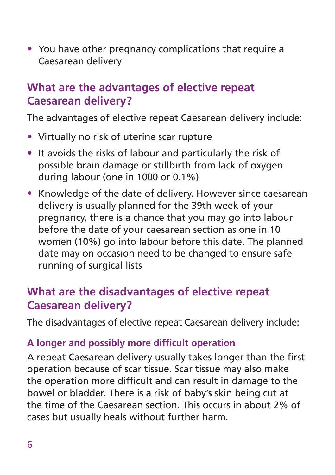• You have other pregnancy complications that require a Caesarean delivery

## **What are the advantages of elective repeat Caesarean delivery?**

The advantages of elective repeat Caesarean delivery include:

- Virtually no risk of uterine scar rupture
- It avoids the risks of labour and particularly the risk of possible brain damage or stillbirth from lack of oxygen during labour (one in 1000 or 0.1%)
- Knowledge of the date of delivery. However since caesarean delivery is usually planned for the 39th week of your pregnancy, there is a chance that you may go into labour before the date of your caesarean section as one in 10 women (10%) go into labour before this date. The planned date may on occasion need to be changed to ensure safe running of surgical lists

# **What are the disadvantages of elective repeat Caesarean delivery?**

The disadvantages of elective repeat Caesarean delivery include:

#### **A longer and possibly more difficult operation**

A repeat Caesarean delivery usually takes longer than the first operation because of scar tissue. Scar tissue may also make the operation more difficult and can result in damage to the bowel or bladder. There is a risk of baby's skin being cut at the time of the Caesarean section. This occurs in about 2% of cases but usually heals without further harm.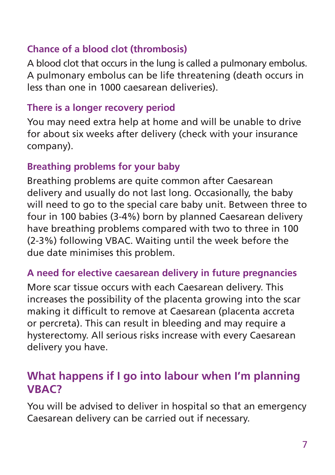#### **Chance of a blood clot (thrombosis)**

A blood clot that occurs in the lung is called a pulmonary embolus. A pulmonary embolus can be life threatening (death occurs in less than one in 1000 caesarean deliveries).

#### **There is a longer recovery period**

You may need extra help at home and will be unable to drive for about six weeks after delivery (check with your insurance company).

#### **Breathing problems for your baby**

Breathing problems are quite common after Caesarean delivery and usually do not last long. Occasionally, the baby will need to go to the special care baby unit. Between three to four in 100 babies (3-4%) born by planned Caesarean delivery have breathing problems compared with two to three in 100 (2-3%) following VBAC. Waiting until the week before the due date minimises this problem.

#### **A need for elective caesarean delivery in future pregnancies**

More scar tissue occurs with each Caesarean delivery. This increases the possibility of the placenta growing into the scar making it difficult to remove at Caesarean (placenta accreta or percreta). This can result in bleeding and may require a hysterectomy. All serious risks increase with every Caesarean delivery you have.

## **What happens if I go into labour when I'm planning VBAC?**

You will be advised to deliver in hospital so that an emergency Caesarean delivery can be carried out if necessary.